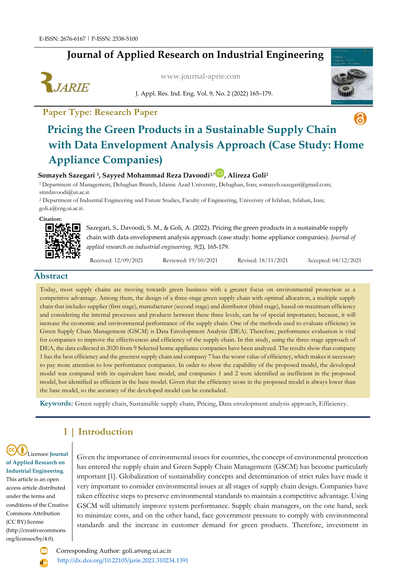## **Journal of Applied Research on Industrial Engineering**



[www.journal-aprie.com](http://www.journal-aprie.com/)

J. Appl. Res. Ind. Eng. Vol. 9, No. 2 (2022) 165–179.

**Paper Type: Research Paper**



# ெ **Pricing the Green Products in a Sustainable Supply Chain with Data Envelopment Analysis Approach (Case Study: Home Appliance Companies)**

#### **Somayeh Sazegari <sup>1</sup> , Sayyed Mohammad Reza Davoodi1,\* , Alireza Goli<sup>2</sup>**

<sup>1</sup> Department of Management, Dehaghan Branch, Islamic Azad University, Dehaghan, Iran; [somayeh.sazegari@gmail.com;](mailto:somayeh.sazegari@gmail.com) smrdavoodi@ut.ac.ir.

<sup>2</sup> Department of Industrial Engineering and Future Studies, Faculty of Engineering, University of Isfahan, Isfahan, Iran; [goli.a@eng.ui.ac.ir.](mailto:goli.a@eng.ui.ac.ir)

**Citation:**



Sazegari, S., Davoodi, S. M., & Goli, A. (2022). Pricing the green products in a sustainable supply chain with data envelopment analysis approach (case study: home appliance companies). *Journal of applied research on industrial engineering, 9*(2), 165-179.

Received: 12/09/2021 Reviewed: 19/10/2021 Revised: 18/11/2021 Accepted: 04/12/2021

#### **Abstract**

Today, most supply chains are moving towards green business with a greater focus on environmental protection as a competitive advantage. Among them, the design of a three-stage green supply chain with optimal allocation, a multiple supply chain that includes supplier (first stage), manufacturer (second stage) and distributor (third stage), based on maximum efficiency and considering the internal processes and products between these three levels, can be of special importance; because, it will increase the economic and environmental performance of the supply chain. One of the methods used to evaluate efficiency in Green Supply Chain Management (GSCM) is Data Envelopment Analysis (DEA). Therefore, performance evaluation is vital for companies to improve the effectiveness and efficiency of the supply chain. In this study, using the three-stage approach of DEA, the data collected in 2020 from 9 Selected home appliance companies have been analyzed. The results show that company 1 has the best efficiency and the greenest supply chain and company 7 has the worst value of efficiency, which makes it necessary to pay more attention to low performance companies. In order to show the capability of the proposed model, the developed model was compared with its equivalent base model, and companies 1 and 2 were identified as inefficient in the proposed model, but identified as efficient in the base model. Given that the efficiency score in the proposed model is always lower than the base model, so the accuracy of the developed model can be concluded.

**Keywords:** Green supply chain, Sustainable supply chain, Pricing, Data envelopment analysis approach, Efficiency.

## **1 | Introduction**

Licensee **Journal of Applied Research on Industrial Engineering**. This article is an open access article distributed under the terms and conditions of the Creative Commons Attribution (CC BY) license (http://creativecommons. org/licenses/by/4.0).

Given the importance of environmental issues for countries, the concept of environmental protection has entered the supply chain and Green Supply Chain Management (GSCM) has become particularly important [1]. Globalization of sustainability concepts and determination of strict rules have made it very important to consider environmental issues at all stages of supply chain design. Companies have taken effective steps to preserve environmental standards to maintain a competitive advantage. Using GSCM will ultimately improve system performance. Supply chain managers, on the one hand, seek to minimize costs, and on the other hand, face government pressure to comply with environmental standards and the increase in customer demand for green products. Therefore, investment in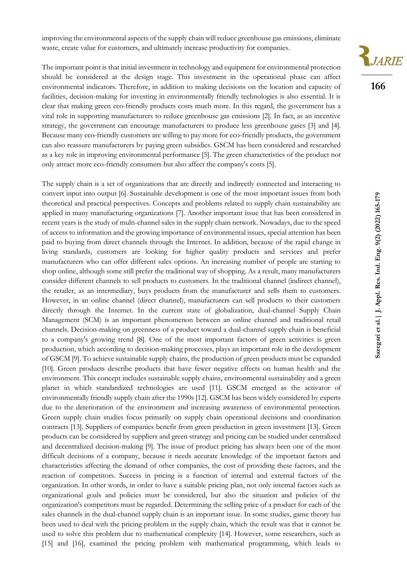improving the environmental aspects of the supply chain will reduce greenhouse gas emissions, eliminate waste, create value for customers, and ultimately increase productivity for companies.

The important point is that initial investment in technology and equipment for environmental protection should be considered at the design stage. This investment in the operational phase can affect environmental indicators. Therefore, in addition to making decisions on the location and capacity of facilities, decision-making for investing in environmentally friendly technologies is also essential. It is clear that making green eco-friendly products costs much more. In this regard, the government has a vital role in supporting manufacturers to reduce greenhouse gas emissions [2]. In fact, as an incentive strategy, the government can encourage manufacturers to produce less greenhouse gases [3] and [4]. Because many eco-friendly customers are willing to pay more for eco-friendly products, the government can also reassure manufacturers by paying green subsidies. GSCM has been considered and researched as a key role in improving environmental performance [5]. The green characteristics of the product not only attract more eco-friendly consumers but also affect the company's costs [5].

The supply chain is a set of organizations that are directly and indirectly connected and interacting to convert input into output [6]. Sustainable development is one of the most important issues from both theoretical and practical perspectives. Concepts and problems related to supply chain sustainability are applied in many manufacturing organizations [7]. Another important issue that has been considered in recent years is the study of multi-channel sales in the supply chain network. Nowadays, due to the speed of access to information and the growing importance of environmental issues, special attention has been paid to buying from direct channels through the Internet. In addition, because of the rapid change in living standards, customers are looking for higher quality products and services and prefer manufacturers who can offer different sales options. An increasing number of people are starting to shop online, although some still prefer the traditional way of shopping. As a result, many manufacturers consider different channels to sell products to customers. In the traditional channel (indirect channel), the retailer, as an intermediary, buys products from the manufacturer and sells them to customers. However, in an online channel (direct channel), manufacturers can sell products to their customers directly through the Internet. In the current state of globalization, dual-channel Supply Chain Management (SCM) is an important phenomenon between an online channel and traditional retail channels. Decision-making on greenness of a product toward a dual-channel supply chain is beneficial to a company's growing trend [8]. One of the most important factors of green activities is green production, which according to decision-making processes, plays an important role in the development of GSCM [9]. To achieve sustainable supply chains, the production of green products must be expanded [10]. Green products describe products that have fewer negative effects on human health and the environment. This concept includes sustainable supply chains, environmental sustainability and a green planet in which standardized technologies are used [11]. GSCM emerged as the activator of environmentally friendly supply chain after the 1990s [12]. GSCM has been widely considered by experts due to the deterioration of the environment and increasing awareness of environmental protection. Green supply chain studies focus primarily on supply chain operational decisions and coordination contracts [13]. Suppliers of companies benefit from green production in green investment [13]. Green products can be considered by suppliers and green strategy and pricing can be studied under centralized and decentralized decision-making [9]. The issue of product pricing has always been one of the most difficult decisions of a company, because it needs accurate knowledge of the important factors and characteristics affecting the demand of other companies, the cost of providing these factors, and the reaction of competitors. Success in pricing is a function of internal and external factors of the organization. In other words, in order to have a suitable pricing plan, not only internal factors such as organizational goals and policies must be considered, but also the situation and policies of the organization's competitors must be regarded. Determining the selling price of a product for each of the sales channels in the dual-channel supply chain is an important issue. In some studies, game theory has been used to deal with the pricing problem in the supply chain, which the result was that it cannot be used to solve this problem due to mathematical complexity [14]. However, some researchers, such as [15] and [16], examined the pricing problem with mathematical programming, which leads to



**166**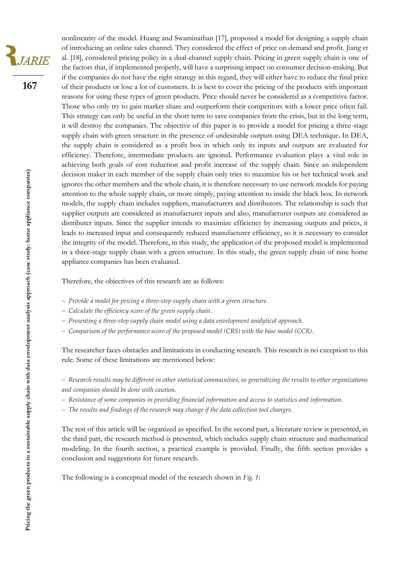JARIE

**167**

nonlinearity of the model. Huang and Swaminathan [17], proposed a model for designing a supply chain of introducing an online sales channel. They considered the effect of price on demand and profit. Jiang et al. [18], considered pricing policy in a dual-channel supply chain. Pricing in green supply chain is one of the factors that, if implemented properly, will have a surprising impact on consumer decision-making. But if the companies do not have the right strategy in this regard, they will either have to reduce the final price of their products or lose a lot of customers. It is best to cover the pricing of the products with important reasons for using these types of green products. Price should never be considered as a competitive factor. Those who only try to gain market share and outperform their competitors with a lower price often fail. This strategy can only be useful in the short term to save companies from the crisis, but in the long term, it will destroy the companies. The objective of this paper is to provide a model for pricing a three-stage supply chain with green structure in the presence of undesirable outputs using DEA technique. In DEA, the supply chain is considered as a profit box in which only its inputs and outputs are evaluated for efficiency. Therefore, intermediate products are ignored. Performance evaluation plays a vital role in achieving both goals of cost reduction and profit increase of the supply chain. Since an independent decision maker in each member of the supply chain only tries to maximize his or her technical work and ignores the other members and the whole chain, it is therefore necessary to use network models for paying attention to the whole supply chain, or more simply, paying attention to inside the black box. In network models, the supply chain includes suppliers, manufacturers and distributors. The relationship is such that supplier outputs are considered as manufacturer inputs and also, manufacturer outputs are considered as distributer inputs. Since the supplier intends to maximize efficiency by increasing outputs and prices, it leads to increased input and consequently reduced manufacturer efficiency, so it is necessary to consider the integrity of the model. Therefore, in this study, the application of the proposed model is implemented in a three-stage supply chain with a green structure. In this study, the green supply chain of nine home appliance companies has been evaluated.

Therefore, the objectives of this research are as follows:

- − *Provide a model for pricing a three-step supply chain with a green structure.*
- − *Calculate the efficiency score of the green supply chain.*
- − *Presenting a three-step supply chain model using a data envelopment analytical approach.*
- − *Comparison of the performance score of the proposed model (CRS) with the base model (CCR).*

The researcher faces obstacles and limitations in conducting research. This research is no exception to this rule. Some of these limitations are mentioned below:

- − *Research results may be different in other statistical communities, so generalizing the results to other organizations and companies should be done with caution.*
- − *Resistance of some companies in providing financial information and access to statistics and information.*
- − *The results and findings of the research may change if the data collection tool changes.*

The rest of this article will be organized as specified. In the second part, a literature review is presented, in the third part, the research method is presented, which includes supply chain structure and mathematical modeling. In the fourth section, a practical example is provided. Finally, the fifth section provides a conclusion and suggestions for future research.

The following is a conceptual model of the research shown in *Fig. 1*: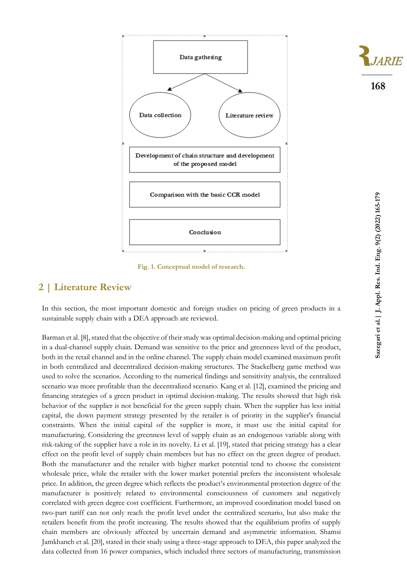

**Fig. 1. Conceptual model of research.**

## **2 | Literature Review**

In this section, the most important domestic and foreign studies on pricing of green products in a sustainable supply chain with a DEA approach are reviewed.

Barman et al. [8], stated that the objective of their study was optimal decision-making and optimal pricing in a dual-channel supply chain. Demand was sensitive to the price and greenness level of the product, both in the retail channel and in the online channel. The supply chain model examined maximum profit in both centralized and decentralized decision-making structures. The Stackelberg game method was used to solve the scenarios. According to the numerical findings and sensitivity analysis, the centralized scenario was more profitable than the decentralized scenario. Kang et al. [12], examined the pricing and financing strategies of a green product in optimal decision-making. The results showed that high risk behavior of the supplier is not beneficial for the green supply chain. When the supplier has less initial capital, the down payment strategy presented by the retailer is of priority in the supplier's financial constraints. When the initial capital of the supplier is more, it must use the initial capital for manufacturing. Considering the greenness level of supply chain as an endogenous variable along with risk-taking of the supplier have a role in its novelty. Li et al. [19], stated that pricing strategy has a clear effect on the profit level of supply chain members but has no effect on the green degree of product. Both the manufacturer and the retailer with higher market potential tend to choose the consistent wholesale price, while the retailer with the lower market potential prefers the inconsistent wholesale price. In addition, the green degree which reflects the product's environmental protection degree of the manufacturer is positively related to environmental consciousness of customers and negatively correlated with green degree cost coefficient. Furthermore, an improved coordination model based on two-part tariff can not only reach the profit level under the centralized scenario, but also make the retailers benefit from the profit increasing. The results showed that the equilibrium profits of supply chain members are obviously affected by uncertain demand and asymmetric information. Shamsi Jamkhaneh et al. [20], stated in their study using a three-stage approach to DEA, this paper analyzed the data collected from 16 power companies, which included three sectors of manufacturing, transmission

**168**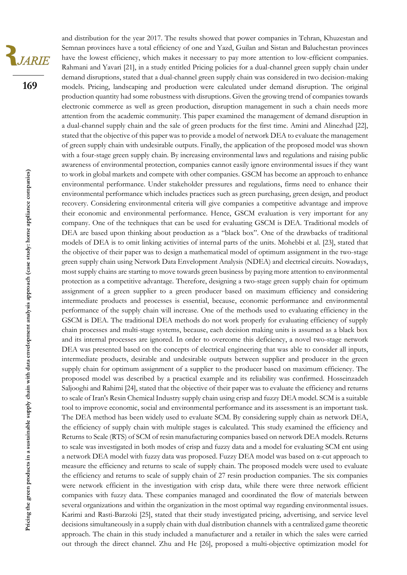VARIE

**169**

and distribution for the year 2017. The results showed that power companies in Tehran, Khuzestan and Semnan provinces have a total efficiency of one and Yazd, Guilan and Sistan and Baluchestan provinces have the lowest efficiency, which makes it necessary to pay more attention to low-efficient companies. Rahmani and Yavari [21], in a study entitled Pricing policies for a dual-channel green supply chain under demand disruptions, stated that a dual-channel green supply chain was considered in two decision-making models. Pricing, landscaping and production were calculated under demand disruption. The original production quantity had some robustness with disruptions. Given the growing trend of companies towards electronic commerce as well as green production, disruption management in such a chain needs more attention from the academic community. This paper examined the management of demand disruption in a dual-channel supply chain and the sale of green products for the first time. Amini and Alinezhad [22], stated that the objective of this paper was to provide a model of network DEA to evaluate the management of green supply chain with undesirable outputs. Finally, the application of the proposed model was shown with a four-stage green supply chain. By increasing environmental laws and regulations and raising public awareness of environmental protection, companies cannot easily ignore environmental issues if they want to work in global markets and compete with other companies. GSCM has become an approach to enhance environmental performance. Under stakeholder pressures and regulations, firms need to enhance their environmental performance which includes practices such as green purchasing, green design, and product recovery. Considering environmental criteria will give companies a competitive advantage and improve their economic and environmental performance. Hence, GSCM evaluation is very important for any company. One of the techniques that can be used for evaluating GSCM is DEA. Traditional models of DEA are based upon thinking about production as a "black box". One of the drawbacks of traditional models of DEA is to omit linking activities of internal parts of the units. Mohebbi et al. [23], stated that the objective of their paper was to design a mathematical model of optimum assignment in the two-stage green supply chain using Network Data Envelopment Analysis (NDEA) and electrical circuits. Nowadays, most supply chains are starting to move towards green business by paying more attention to environmental protection as a competitive advantage. Therefore, designing a two-stage green supply chain for optimum assignment of a green supplier to a green producer based on maximum efficiency and considering intermediate products and processes is essential, because, economic performance and environmental performance of the supply chain will increase. One of the methods used to evaluating efficiency in the GSCM is DEA. The traditional DEA methods do not work properly for evaluating efficiency of supply chain processes and multi-stage systems, because, each decision making units is assumed as a black box and its internal processes are ignored. In order to overcome this deficiency, a novel two-stage network DEA was presented based on the concepts of electrical engineering that was able to consider all inputs, intermediate products, desirable and undesirable outputs between supplier and producer in the green supply chain for optimum assignment of a supplier to the producer based on maximum efficiency. The proposed model was described by a practical example and its reliability was confirmed. Hosseinzadeh Saljooghi and Rahimi [24], stated that the objective of their paper was to evaluate the efficiency and returns to scale of Iran's Resin Chemical Industry supply chain using crisp and fuzzy DEA model. SCM is a suitable tool to improve economic, social and environmental performance and its assessment is an important task. The DEA method has been widely used to evaluate SCM. By considering supply chain as network DEA, the efficiency of supply chain with multiple stages is calculated. This study examined the efficiency and Returns to Scale (RTS) of SCM of resin manufacturing companies based on network DEA models. Returns to scale was investigated in both modes of crisp and fuzzy data and a model for evaluating SCM ent using a network DEA model with fuzzy data was proposed. Fuzzy DEA model was based on α-cut approach to measure the efficiency and returns to scale of supply chain. The proposed models were used to evaluate the efficiency and returns to scale of supply chain of 27 resin production companies. The six companies were network efficient in the investigation with crisp data, while there were three network efficient companies with fuzzy data. These companies managed and coordinated the flow of materials between several organizations and within the organization in the most optimal way regarding environmental issues. Karimi and Rasti-Barzoki [25], stated that their study investigated pricing, advertising, and service level decisions simultaneously in a supply chain with dual distribution channels with a centralized game theoretic approach. The chain in this study included a manufacturer and a retailer in which the sales were carried out through the direct channel. Zhu and He [26], proposed a multi-objective optimization model for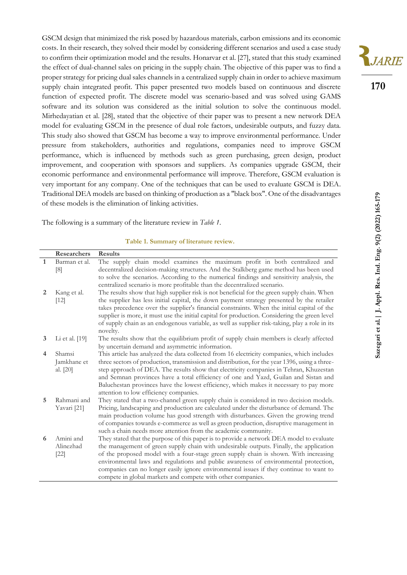GSCM design that minimized the risk posed by hazardous materials, carbon emissions and its economic costs. In their research, they solved their model by considering different scenarios and used a case study to confirm their optimization model and the results. Honarvar et al. [27], stated that this study examined the effect of dual-channel sales on pricing in the supply chain. The objective of this paper was to find a proper strategy for pricing dual sales channels in a centralized supply chain in order to achieve maximum supply chain integrated profit. This paper presented two models based on continuous and discrete function of expected profit. The discrete model was scenario-based and was solved using GAMS software and its solution was considered as the initial solution to solve the continuous model. Mirhedayatian et al. [28], stated that the objective of their paper was to present a new network DEA model for evaluating GSCM in the presence of dual role factors, undesirable outputs, and fuzzy data. This study also showed that GSCM has become a way to improve environmental performance. Under pressure from stakeholders, authorities and regulations, companies need to improve GSCM performance, which is influenced by methods such as green purchasing, green design, product improvement, and cooperation with sponsors and suppliers. As companies upgrade GSCM, their economic performance and environmental performance will improve. Therefore, GSCM evaluation is very important for any company. One of the techniques that can be used to evaluate GSCM is DEA. Traditional DEA models are based on thinking of production as a "black box". One of the disadvantages of these models is the elimination of linking activities.

The following is a summary of the literature review in *Table 1*.

| Table 1. Summary of literature review. |  |  |
|----------------------------------------|--|--|
|----------------------------------------|--|--|

|              | <b>Researchers</b> | <b>Results</b>                                                                                 |
|--------------|--------------------|------------------------------------------------------------------------------------------------|
| $\mathbf{1}$ | Barman et al.      | The supply chain model examines the maximum profit in both centralized and                     |
|              | [8]                | decentralized decision-making structures. And the Stalkberg game method has been used          |
|              |                    | to solve the scenarios. According to the numerical findings and sensitivity analysis, the      |
|              |                    | centralized scenario is more profitable than the decentralized scenario.                       |
| 2            | Kang et al.        | The results show that high supplier risk is not beneficial for the green supply chain. When    |
|              | $[12]$             | the supplier has less initial capital, the down payment strategy presented by the retailer     |
|              |                    | takes precedence over the supplier's financial constraints. When the initial capital of the    |
|              |                    | supplier is more, it must use the initial capital for production. Considering the green level  |
|              |                    | of supply chain as an endogenous variable, as well as supplier risk-taking, play a role in its |
|              |                    | novelty.                                                                                       |
| 3            | Li et al. $[19]$   | The results show that the equilibrium profit of supply chain members is clearly affected       |
|              |                    | by uncertain demand and asymmetric information.                                                |
| 4            | Shamsi             | This article has analyzed the data collected from 16 electricity companies, which includes     |
|              | Jamkhane et        | three sectors of production, transmission and distribution, for the year 1396, using a three-  |
|              | al. $[20]$         | step approach of DEA. The results show that electricity companies in Tehran, Khuzestan         |
|              |                    | and Semnan provinces have a total efficiency of one and Yazd, Guilan and Sistan and            |
|              |                    | Baluchestan provinces have the lowest efficiency, which makes it necessary to pay more         |
|              |                    | attention to low efficiency companies.                                                         |
| 5            | Rahmani and        | They stated that a two-channel green supply chain is considered in two decision models.        |
|              | Yavari [21]        | Pricing, landscaping and production are calculated under the disturbance of demand. The        |
|              |                    | main production volume has good strength with disturbances. Given the growing trend            |
|              |                    | of companies towards e-commerce as well as green production, disruptive management in          |
|              |                    | such a chain needs more attention from the academic community.                                 |
| 6            | Amini and          | They stated that the purpose of this paper is to provide a network DEA model to evaluate       |
|              | Alinezhad          | the management of green supply chain with undesirable outputs. Finally, the application        |
|              | $[22]$             | of the proposed model with a four-stage green supply chain is shown. With increasing           |
|              |                    | environmental laws and regulations and public awareness of environmental protection,           |
|              |                    | companies can no longer easily ignore environmental issues if they continue to want to         |
|              |                    | compete in global markets and compete with other companies.                                    |

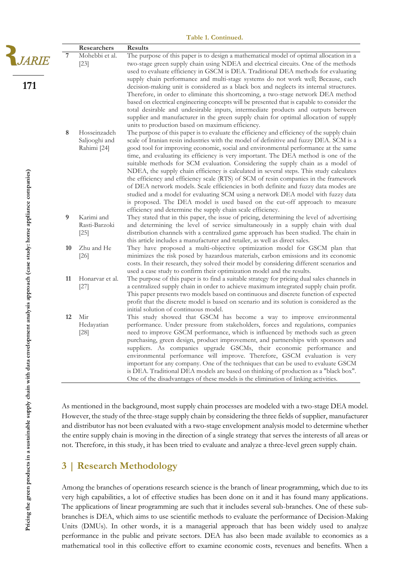|                                                                                |    | Researchers                                  | <b>Results</b>                                                                                                                                                                                                                                                                                                                                                                                                                                                                                                                                                                                                                                                                                                                                                                                                                                                                                                                                                   |
|--------------------------------------------------------------------------------|----|----------------------------------------------|------------------------------------------------------------------------------------------------------------------------------------------------------------------------------------------------------------------------------------------------------------------------------------------------------------------------------------------------------------------------------------------------------------------------------------------------------------------------------------------------------------------------------------------------------------------------------------------------------------------------------------------------------------------------------------------------------------------------------------------------------------------------------------------------------------------------------------------------------------------------------------------------------------------------------------------------------------------|
| <i>JARIE</i>                                                                   | 7  | Mohebbi et al.<br>$[23]$                     | The purpose of this paper is to design a mathematical model of optimal allocation in a<br>two-stage green supply chain using NDEA and electrical circuits. One of the methods<br>used to evaluate efficiency in GSCM is DEA. Traditional DEA methods for evaluating                                                                                                                                                                                                                                                                                                                                                                                                                                                                                                                                                                                                                                                                                              |
| 171                                                                            |    |                                              | supply chain performance and multi-stage systems do not work well; Because, each<br>decision-making unit is considered as a black box and neglects its internal structures.<br>Therefore, in order to eliminate this shortcoming, a two-stage network DEA method<br>based on electrical engineering concepts will be presented that is capable to consider the<br>total desirable and undesirable inputs, intermediate products and outputs between<br>supplier and manufacturer in the green supply chain for optimal allocation of supply<br>units to production based on maximum efficiency.                                                                                                                                                                                                                                                                                                                                                                  |
|                                                                                | 8  | Hosseinzadeh<br>Saljooghi and<br>Rahimi [24] | The purpose of this paper is to evaluate the efficiency and efficiency of the supply chain<br>scale of Iranian resin industries with the model of definitive and fuzzy DEA. SCM is a<br>good tool for improving economic, social and environmental performance at the same<br>time, and evaluating its efficiency is very important. The DEA method is one of the<br>suitable methods for SCM evaluation. Considering the supply chain as a model of<br>NDEA, the supply chain efficiency is calculated in several steps. This study calculates<br>the efficiency and efficiency scale (RTS) of SCM of resin companies in the framework<br>of DEA network models. Scale efficiencies in both definite and fuzzy data modes are<br>studied and a model for evaluating SCM using a network DEA model with fuzzy data<br>is proposed. The DEA model is used based on the cut-off approach to measure<br>efficiency and determine the supply chain scale efficiency. |
|                                                                                | 9  | Karimi and<br>Rasti-Barzoki<br>$[25]$        | They stated that in this paper, the issue of pricing, determining the level of advertising<br>and determining the level of service simultaneously in a supply chain with dual<br>distribution channels with a centralized game approach has been studied. The chain in<br>this article includes a manufacturer and retailer, as well as direct sales.                                                                                                                                                                                                                                                                                                                                                                                                                                                                                                                                                                                                            |
|                                                                                | 10 | Zhu and He<br>$[26]$                         | They have proposed a multi-objective optimization model for GSCM plan that<br>minimizes the risk posed by hazardous materials, carbon emissions and its economic<br>costs. In their research, they solved their model by considering different scenarios and<br>used a case study to confirm their optimization model and the results.                                                                                                                                                                                                                                                                                                                                                                                                                                                                                                                                                                                                                           |
|                                                                                | 11 | Honarvar et al.<br>$[27]$                    | The purpose of this paper is to find a suitable strategy for pricing dual sales channels in<br>a centralized supply chain in order to achieve maximum integrated supply chain profit.<br>This paper presents two models based on continuous and discrete function of expected<br>profit that the discrete model is based on scenario and its solution is considered as the<br>initial solution of continuous model.                                                                                                                                                                                                                                                                                                                                                                                                                                                                                                                                              |
| with data envelopment analysis approach (case study: home appliance companies) | 12 | Mir<br>Hedayatian<br>$[28]$                  | This study showed that GSCM has become a way to improve environmental<br>performance. Under pressure from stakeholders, forces and regulations, companies<br>need to improve GSCM performance, which is influenced by methods such as green<br>purchasing, green design, product improvement, and partnerships with sponsors and<br>suppliers. As companies upgrade GSCMs, their economic performance and<br>environmental performance will improve. Therefore, GSCM evaluation is very<br>important for any company. One of the techniques that can be used to evaluate GSCM<br>is DEA. Traditional DEA models are based on thinking of production as a "black box".<br>One of the disadvantages of these models is the elimination of linking activities.                                                                                                                                                                                                      |

As mentioned in the background, most supply chain processes are modeled with a two-stage DEA model. However, the study of the three-stage supply chain by considering the three fields of supplier, manufacturer and distributor has not been evaluated with a two-stage envelopment analysis model to determine whether the entire supply chain is moving in the direction of a single strategy that serves the interests of all areas or not. Therefore, in this study, it has been tried to evaluate and analyze a three-level green supply chain.

## **3 | Research Methodology**

Among the branches of operations research science is the branch of linear programming, which due to its very high capabilities, a lot of effective studies has been done on it and it has found many applications. The applications of linear programming are such that it includes several sub-branches. One of these subbranches is DEA, which aims to use scientific methods to evaluate the performance of Decision-Making Units (DMUs). In other words, it is a managerial approach that has been widely used to analyze performance in the public and private sectors. DEA has also been made available to economics as a mathematical tool in this collective effort to examine economic costs, revenues and benefits. When a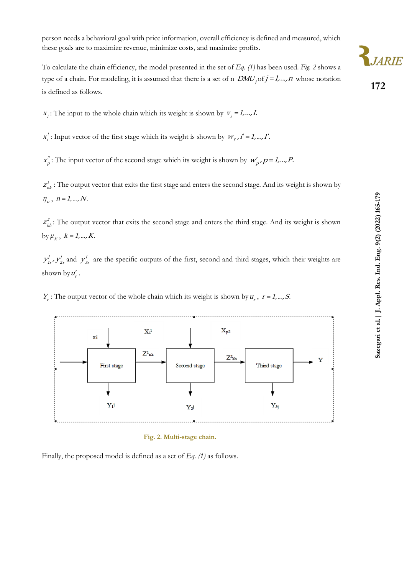person needs a behavioral goal with price information, overall efficiency is defined and measured, which these goals are to maximize revenue, minimize costs, and maximize profits.

To calculate the chain efficiency, the model presented in the set of *Eq. (1)* has been used. *Fig. 2* shows a type of a chain. For modeling, it is assumed that there is a set of n  $DMU_j$  of  $j = 1,...,n$  whose notation is defined as follows.

 $x_i$ : The input to the whole chain which its weight is shown by  $v_i = 1, ..., I$ .

1  $x_i^1$ : Input vector of the first stage which its weight is shown by  $w_i$ ,  $i' = 1,..., I'$ .

2  $x_p^2$ : The input vector of the second stage which its weight is shown by  $w_p^{\prime}$ ,  $p = 1,...,P$ .

 $z_{nk}^j$ : The output vector that exits the first stage and enters the second stage. And its weight is shown by  $\eta_n$ ,  $n = 1, ..., N$ .

 $z<sub>kh</sub><sup>2</sup>$ : The output vector that exits the second stage and enters the third stage. And its weight is shown by  $\mu_{K}$ ,  $k = 1, ..., K$ .

 $y'_{1r}$ ,  $y'_{2r}$  and  $y'_{3r}$  are the specific outputs of the first, second and third stages, which their weights are shown by  $u'_r$ .

 $Y_i$ : The output vector of the whole chain which its weight is shown by  $u_i$ ,  $r = 1, ..., S$ .



**Fig. 2. Multi-stage chain.**

Finally, the proposed model is defined as a set of *Eq. (1)* as follows.



**172**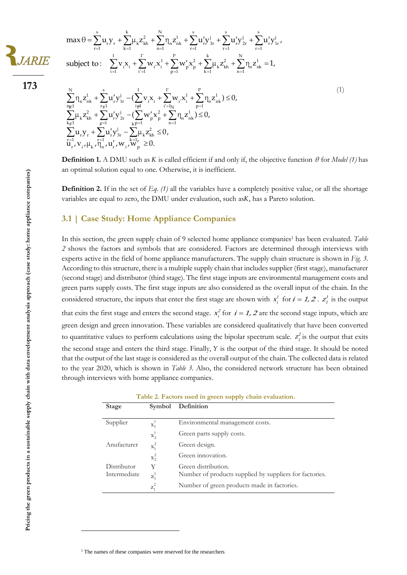

**es** 

$$
max \theta = \sum_{r=1}^{s} u_r y_r + \sum_{k=1}^{k} \mu_k z_{kh}^2 + \sum_{n=1}^{N} \eta_n z_{nk}^1 + \sum_{r=1}^{s} u'_r y_{3r}^j + \sum_{r=1}^{s} u'_r y_{2r}^j + \sum_{r=1}^{s} u'_r y_{1r}^j,
$$
  
subject to: 
$$
\sum_{i=1}^{I} v_i x_i + \sum_{i'=1}^{I'} w_{i'} x_i^1 + \sum_{p=1}^{P} w'_p x_p^2 + \sum_{k=1}^{k} \mu_k z_{kh}^2 + \sum_{n=1}^{N} \eta_n z_{nk}^1 = 1,
$$

**Pricing the green products in a sustainable supply chain with data envelopment analysis approach (case study: home appliance companies)** 

ľ  $\sum_{\mathbf{r} \in \mathcal{I}} \eta_{\mathbf{n}} \mathbf{z}_{\mathbf{n}\mathbf{k}}^1 + \sum_{\mathbf{r} \in \mathcal{I}} \mathbf{u}_{\mathbf{r}}^{\'} \mathbf{y}_{1\mathbf{r}}^1 - \left( \sum_{i \neq 1} \mathbf{v}_{i} \mathbf{x}_{i} + \sum_{i' = 1} \mathbf{w}_{i'} \mathbf{x}_{i}^1 + \sum_{p=1} \eta_{\mathbf{n}} \mathbf{z}_{p}^p \right)$  $\sum_{\sigma\in I} \mu_k Z_{kh}^2 + \sum_{g=1} u_r' y_{2r}^1 - (\sum_{k,p=1} w_p' x_p^2 + \sum_{n=1}^{\infty} \eta_n Z_{k,p}^2)$  $\sum_{r=1}^{n} u_r y_r + \sum_{r=1}^{n} u'_r y_{3r}^1 - \sum_{k=1}^{n} u_k z_k$  $+\sum_{i=1}^{s} u_{r}^{j} y_{1r}^{j} - (\sum_{i=1}^{I} v_{i} x_{i} + \sum_{i=1}^{I'} w_{i} x_{i}^{1} + \sum_{i=1}^{P} \eta_{n} z_{nk}^{1}) \leq 0,$ +  $\sum_{r_{\overline{s}}=1}$   $\mathbf{u}'_r \mathbf{y}'_{1r}$  -  $(\sum_{i=1}^r \mathbf{v}_i \mathbf{x}_i + \sum_{i'=1}^r \mathbf{w}_{i'} \mathbf{x}_i^1 + \sum_{p=1}^r \eta_n \mathbf{z}_{nk}^1)$ <br>+  $\sum_{r'} \mathbf{u}'_r \mathbf{y}'_{2r}$  -  $(\sum_{r'} \mathbf{w}'_p \mathbf{x}_p^2 + \sum_{r'} \eta_n \mathbf{z}_{nk}^1) \leq 0$ ,  $\begin{aligned} &\sum_{j=1}^{N} \mathbf{u}_{r}^{'} \mathbf{y}_{2r}^{'} - \left(\sum_{k} \mathbf{w}_{p}^{'} \mathbf{x}_{p}^{2} + \sum_{n=1}^{N} \eta_{n} \right) \\ &+ \sum_{k} \mathbf{u}_{r}^{'} \mathbf{y}_{3r}^{j} - \sum_{k} \mu_{k} \mathbf{z}_{k h}^{2} \leq 0, \end{aligned}$  $y_{3r}^{j} - \sum_{k=1}^{k=1} \mu_k z_{kh}^{2} \leq 0$ <br>  $y_{r}^{'}$ ,  $w_{i}$ ,  $w_{p}^{'} \geq 0$ .  $\begin{aligned} &\qquad \qquad \mathbf{1}_{i=1} &\qquad \qquad \mathbf{1}_{k=1} \\ &\sum_{n\in \mathbb{J}}^{N}\eta_n\mathbf{Z}_{nk}^1 + \sum_{r\in \mathbb{J}}^{s}\mathbf{u}_{r}'\mathbf{y}_{1r}^j - (\sum_{i\neq l}^{I}\mathbf{v}_{i}\mathbf{X}_{i} + \sum_{i^{'}=1_N}^{I'}\mathbf{w}_{i^{'}}\mathbf{X}_{i}^1 + \sum_{p=1}^{P}\eta_n\mathbf{Z}_{nk}^1) \leq 0 \end{aligned}$  $\begin{array}{l} {\displaystyle\sum_{n_{F}1}^{N}}{\eta _{n}z_{nk}^{1}+\sum_{r_{\overline{5}}1}^{s}u_{r}^{\prime }y_{1r}^{j}-(\sum_{i\neq l}^{I}v_{i}x_{i}+\sum_{i^{\prime }=l_{N}}^{I^{\prime }}w_{i^{\prime }}x_{i}^{1}+\sum_{p=1}^{P}\eta \\ {\displaystyle\sum_{k_{\overline{5}}1}^{N}}\mu _{k}z_{kh}^{2}+\sum_{g=1}^{r}u_{r}^{\prime }y_{2r}^{j}-(\sum_{k_{F}=1}^{I}w_{p}^{\prime }x_{p}^{2}+\$  $\sum_{k=1}^{n_{\overline{k}}1} \mu_k z_{kh}^2 + \sum_{s=1}^{r_{\overline{s}}1} u'_r y_{2r}^j - (\sum_{k=1}^{i_{\overline{p}}1} w'_p x_{p}^2 + \sum_{k=1}^{i_{\overline{s}}2} u_r y_r^j + \sum_{k=1}^{i_{\overline{s}}1} u'_r y_{3r}^j - \sum_{k=1}^{i_{\overline{s}}1} \mu_k z_{kh}^2 \le 0,$  $\sum_{i=1}^{N} n z^{1} + \sum_{i=1}^{s} u'v^{j} - (\sum_{i=1}^{I} v_{i}x^{i} + \sum_{i=1}^{I'} w_{i}x^{1} + \sum_{i=1}^{I'} n z^{1})$  $\sum_{n=1}^{\infty} \eta_n z_{nk}^1 + \sum_{r=1}^{\infty} u'_r y_{1r}^j - (\sum_{i \neq 1}^{\infty} v_i x_i + \sum_{i'=1_N}^{\infty} w_i x_i^1 + \sum_{p=1}^{\infty} \eta_n z_{nk}^1)$ <br>  $\sum_{i'=1}^{\infty} u_i z_{n}^2 + \sum_{i'=1}^{\infty} u'_i y_i^j - (\sum_{i'} w'_i x_i^2 + \sum_{i'} \eta_i z_{n}^1) \leq 0,$  $\sum_{k=1}^{R} \mu_k z_{kh}^2 + \sum_{j=1}^{S} u'_r y_{2r}^j - (\sum_{k=1}^{S} w'_p x_p^2 + \sum_{n=1}^{S} \eta_n z_{nk}^1)$ <br>  $\sum_{r=1}^{S} u_r y_r + \sum_{r=1}^{S} u'_r y_{3r}^j - \sum_{k=1}^{S} \mu_k z_{kh}^2 \le 0,$  $\prod_{r=1}^{n} v_{i}, \mu_{k}, \overline{\eta}_{n} = 1, w'_{i}, w_{i}, \overline{w}'_{p}$  $\eta_n z_{nk}^1 + \sum_{r=1}^s u'_r y_{1r}^j - \left(\sum_{i=1}^I v_i x_i + \sum_{i'=1}^I w_{i'} x_i^1 + \sum_{n=1}^P \eta_n z_{nk}^1\right) \leq 0,$  $\eta_n Z_{nk} + \sum_{r \ge 1} u_r y_{1r}' - (\sum_{i \ne 1} v_i x_i + \sum_{i' = 1_N} w_{i'} x_i' + \sum_{p=1}^N \eta_n Z_{nk}^2) \le$ <br>  $\mu_k Z_{kh}^2 + \sum_{r=1}^N u_r' y_{2r}^j - (\sum_{i \ne -1}^N w_{i'}' x_{i'}^2 + \sum_{n=1}^N \eta_n Z_{nk}^1) \le 0,$  $\mu_k Z_{kh} + \sum_{g=1}^{q-1} u_r y_{2r}^{\prime} - (\sum_{k=1}^{q-1} w_p x_p + \sum_{n=1}^{q-1} \eta_n Z_{j+1}^{\prime})$ <br> $u_r y_r + \sum_{r=1}^{q-1} u_r^{\prime} y_{3r}^{\prime} - \sum_{k=1}^{q-1} \mu_k Z_{kh}^2 \le 0,$  $\sum_{\substack{r=1 \ r_1, \nu_1, \mu_k, \eta_n, \mu'_k, \eta'_n}} u_r' y_{3r}^j - \sum_{\substack{k=1 \ k_1, \nu_1, \mu'_k, \eta'_k, \mu'_k, \mu'_k, \mu'_k}} \mu_k z_{k}^2 \le 0,$ 

**Definition 1.** A DMU such as *K* is called efficient if and only if, the objective function  $\theta$  for *Model* (1) has an optimal solution equal to one. Otherwise, it is inefficient.

(1)

**Definition 2.** If in the set of *Eq. (1)* all the variables have a completely positive value, or all the shortage variables are equal to zero, the DMU under evaluation, such asK, has a Pareto solution.

#### **3.1 | Case Study: Home Appliance Companies**

In this section, the green supply chain of 9 selected home appliance companies<sup>1</sup> has been evaluated. *Table 2* shows the factors and symbols that are considered. Factors are determined through interviews with experts active in the field of home appliance manufacturers. The supply chain structure is shown in *Fig. 3*. According to this structure, there is a multiple supply chain that includes supplier (first stage), manufacturer (second stage) and distributor (third stage). The first stage inputs are environmental management costs and green parts supply costs. The first stage inputs are also considered as the overall input of the chain. In the considered structure, the inputs that enter the first stage are shown with  $x_i^1$  $x_i^j$  for  $i = 1, 2$ .  $z_i^j$  $z<sub>i</sub><sup>T</sup>$  is the output that exits the first stage and enters the second stage.  $x_i^2$  $x_i^2$  for  $i = 1, 2$  are the second stage inputs, which are green design and green innovation. These variables are considered qualitatively that have been converted to quantitative values to perform calculations using the bipolar spectrum scale.  $z_i^2$  $z_i^2$  is the output that exits the second stage and enters the third stage. Finally,  $Y$  is the output of the third stage. It should be noted that the output of the last stage is considered as the overall output of the chain. The collected data is related to the year 2020, which is shown in *Table 3*. Also, the considered network structure has been obtained through interviews with home appliance companies.

| <b>Stage</b> | Symbol           | Definition                                              |
|--------------|------------------|---------------------------------------------------------|
| Supplier     | $\mathbf{x}_1^1$ | Environmental management costs.                         |
|              | $\mathbf{x}_2^1$ | Green parts supply costs.                               |
| Anufacturer  | $x_1^2$          | Green design.                                           |
|              | $x_2^2$          | Green innovation.                                       |
| Distributor  | Y                | Green distribution.                                     |
| Intermediate | $z_1^1$          | Number of products supplied by suppliers for factories. |
|              | $z_1^2$          | Number of green products made in factories.             |

**Table 2. Factors used in green supply chain evaluation.**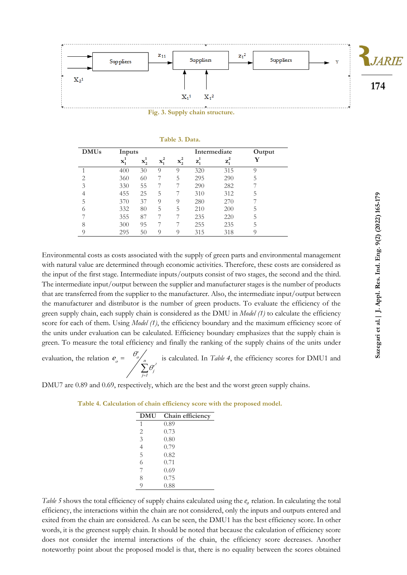

**Fig. 3. Supply chain structure.**

| Table 3. Data. |  |  |  |
|----------------|--|--|--|
|                |  |  |  |

| <b>DMUs</b>    | Inputs           |                  |                  |                  |         | Intermediate | Output |
|----------------|------------------|------------------|------------------|------------------|---------|--------------|--------|
|                | $\mathbf{x}_1^1$ | $\mathbf{x}_2^*$ | $\mathbf{x}_1^2$ | $\mathbf{x}_2^2$ | $z_1^1$ | $z_1^2$      | Y      |
|                | 400              | 30               | 9                | 9                | 320     | 315          | Q      |
| $\overline{2}$ | 360              | 60               |                  | 5                | 295     | 290          | 5      |
| 3              | 330              | 55               |                  |                  | 290     | 282          |        |
|                | 455              | 25               | 5                |                  | 310     | 312          | 5      |
| 5              | 370              | 37               | 9                | 9                | 280     | 270          |        |
| 6              | 332              | 80               | 5                | 5                | 210     | 200          | 5      |
|                | 355              | 87               |                  |                  | 235     | 220          | 5      |
| 8              | 300              | 95               |                  |                  | 255     | 235          | 5      |
| 9              | 295              | 50               | Q                | Q                | 315     | 318          |        |

Environmental costs as costs associated with the supply of green parts and environmental management with natural value are determined through economic activities. Therefore, these costs are considered as the input of the first stage. Intermediate inputs/outputs consist of two stages, the second and the third. The intermediate input/output between the supplier and manufacturer stages is the number of products that are transferred from the supplier to the manufacturer. Also, the intermediate input/output between the manufacturer and distributor is the number of green products. To evaluate the efficiency of the green supply chain, each supply chain is considered as the DMU in *Model (1)* to calculate the efficiency score for each of them. Using *Model (1)*, the efficiency boundary and the maximum efficiency score of the units under evaluation can be calculated. Efficiency boundary emphasizes that the supply chain is green. To measure the total efficiency and finally the ranking of the supply chains of the units under

evaluation, the relation =  $\sum \theta^{\scriptscriptstyle i}_j$  $\mathbf{v}_o = \frac{\theta_o^*}{\sum_{j=1}^n \theta_j^*}$  $e = \theta$ θ is calculated. In *Table 4*, the efficiency scores for DMU1 and

DMU7 are 0.89 and 0.69, respectively, which are the best and the worst green supply chains.

=

| <b>DMU</b>     | Chain efficiency |
|----------------|------------------|
| 1              | 0.89             |
| $\overline{2}$ | 0.73             |
| 3              | 0.80             |
| $\overline{4}$ | 0.79             |
| 5              | 0.82             |
| 6              | 0.71             |
| 7              | 0.69             |
| 8              | 0.75             |
| 9              | 0.88             |

**Table 4. Calculation of chain efficiency score with the proposed model.**

Table 5 shows the total efficiency of supply chains calculated using the  $e_0$  relation. In calculating the total efficiency, the interactions within the chain are not considered, only the inputs and outputs entered and exited from the chain are considered. As can be seen, the DMU1 has the best efficiency score. In other words, it is the greenest supply chain. It should be noted that because the calculation of efficiency score does not consider the internal interactions of the chain, the efficiency score decreases. Another noteworthy point about the proposed model is that, there is no equality between the scores obtained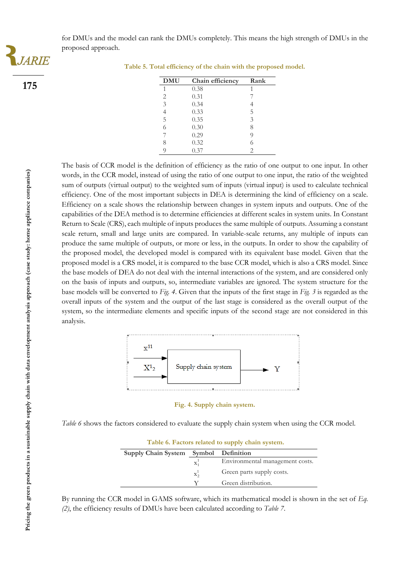for DMUs and the model can rank the DMUs completely. This means the high strength of DMUs in the proposed approach.



**175**

**Table 5. Total efficiency of the chain with the proposed model.**

| <b>DMU</b>     | Chain efficiency | Rank |
|----------------|------------------|------|
| 1              | 0.38             |      |
| $\overline{c}$ | 0.31             |      |
| 3              | 0.34             |      |
| $\overline{4}$ | 0.33             | 5    |
| 5              | 0.35             | 3    |
| 6              | 0.30             | 8    |
| 7              | 0.29             | 9    |
| 8              | 0.32             | 6    |
| O              | 0.37             | 2    |

The basis of CCR model is the definition of efficiency as the ratio of one output to one input. In other words, in the CCR model, instead of using the ratio of one output to one input, the ratio of the weighted sum of outputs (virtual output) to the weighted sum of inputs (virtual input) is used to calculate technical efficiency. One of the most important subjects in DEA is determining the kind of efficiency on a scale. Efficiency on a scale shows the relationship between changes in system inputs and outputs. One of the capabilities of the DEA method is to determine efficiencies at different scales in system units. In Constant Return to Scale (CRS), each multiple of inputs produces the same multiple of outputs. Assuming a constant scale return, small and large units are compared. In variable-scale returns, any multiple of inputs can produce the same multiple of outputs, or more or less, in the outputs. In order to show the capability of the proposed model, the developed model is compared with its equivalent base model. Given that the proposed model is a CRS model, it is compared to the base CCR model, which is also a CRS model. Since the base models of DEA do not deal with the internal interactions of the system, and are considered only on the basis of inputs and outputs, so, intermediate variables are ignored. The system structure for the base models will be converted to *Fig. 4*. Given that the inputs of the first stage in *Fig. 3* is regarded as the overall inputs of the system and the output of the last stage is considered as the overall output of the system, so the intermediate elements and specific inputs of the second stage are not considered in this analysis.



**Fig. 4. Supply chain system.**

*Table 6* shows the factors considered to evaluate the supply chain system when using the CCR model.

| Table 6. Factors related to supply chain system. |         |                                 |  |
|--------------------------------------------------|---------|---------------------------------|--|
| Supply Chain System Symbol Definition            |         |                                 |  |
|                                                  | $X_1^1$ | Environmental management costs. |  |
|                                                  | $X_2^1$ | Green parts supply costs.       |  |
|                                                  | V       | Green distribution.             |  |

By running the CCR model in GAMS software, which its mathematical model is shown in the set of *Eq. (2)*, the efficiency results of DMUs have been calculated according to *Table 7*.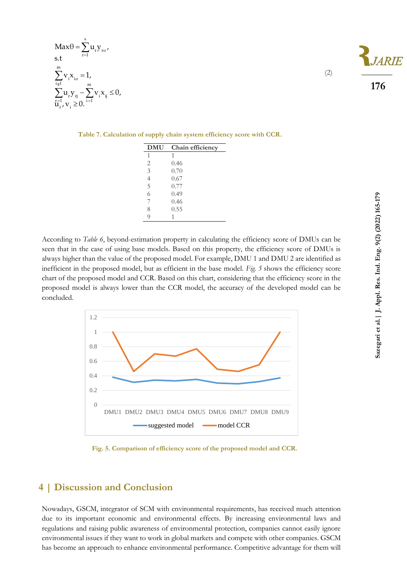$$
Max\theta = \sum_{r=1}^{s} u_{r} y_{r} ,
$$
  
s.t  

$$
\sum_{i=1}^{m} v_{i} x_{i} = 1,
$$

$$
\sum_{r=1}^{m} u_{r} y_{rj} - \sum_{i=1}^{m} v_{i} x_{ij} \le 0,
$$

$$
u_{r}^{r-1}, v_{i} \ge 0.
$$

(2)

**DMU Chain efficiency** 1 1  $\begin{array}{ccc} 2 & 0.46 \\ 3 & 0.70 \end{array}$ 0.70 4 0.67 5 0.77 6 0.49 7 0.46 8 0.55 9 1

**Table 7. Calculation of supply chain system efficiency score with CCR.**

According to *Table 6*, beyond-estimation property in calculating the efficiency score of DMUs can be seen that in the case of using base models. Based on this property, the efficiency score of DMUs is always higher than the value of the proposed model. For example, DMU 1 and DMU 2 are identified as inefficient in the proposed model, but as efficient in the base model. *Fig. 5* shows the efficiency score chart of the proposed model and CCR. Based on this chart, considering that the efficiency score in the proposed model is always lower than the CCR model, the accuracy of the developed model can be concluded.



**Fig. 5. Comparison of efficiency score of the proposed model and CCR.**

## **4 | Discussion and Conclusion**

Nowadays, GSCM, integrator of SCM with environmental requirements, has received much attention due to its important economic and environmental effects. By increasing environmental laws and regulations and raising public awareness of environmental protection, companies cannot easily ignore environmental issues if they want to work in global markets and compete with other companies. GSCM has become an approach to enhance environmental performance. Competitive advantage for them will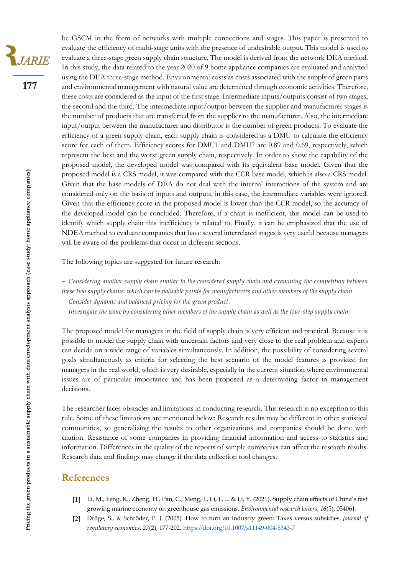

be GSCM in the form of networks with multiple connections and stages. This paper is presented to evaluate the efficiency of multi-stage units with the presence of undesirable output. This model is used to evaluate a three-stage green supply chain structure. The model is derived from the network DEA method. In this study, the data related to the year 2020 of 9 home appliance companies are evaluated and analyzed using the DEA three-stage method. Environmental costs as costs associated with the supply of green parts and environmental management with natural value are determined through economic activities. Therefore, these costs are considered as the input of the first stage. Intermediate inputs/outputs consist of two stages, the second and the third. The intermediate input/output between the supplier and manufacturer stages is the number of products that are transferred from the supplier to the manufacturer. Also, the intermediate input/output between the manufacturer and distributor is the number of green products. To evaluate the efficiency of a green supply chain, each supply chain is considered as a DMU to calculate the efficiency score for each of them. Efficiency scores for DMU1 and DMU7 are 0.89 and 0.69, respectively, which represent the best and the worst green supply chain, respectively. In order to show the capability of the proposed model, the developed model was compared with its equivalent base model. Given that the proposed model is a CRS model, it was compared with the CCR base model, which is also a CRS model. Given that the base models of DEA do not deal with the internal interactions of the system and are considered only on the basis of inputs and outputs, in this case, the intermediate variables were ignored. Given that the efficiency score in the proposed model is lower than the CCR model, so the accuracy of the developed model can be concluded. Therefore, if a chain is inefficient, this model can be used to identify which supply chain this inefficiency is related to. Finally, it can be emphasized that the use of NDEA method to evaluate companies that have several interrelated stages is very useful because managers will be aware of the problems that occur in different sections.

The following topics are suggested for future research:

− *Considering another supply chain similar to the considered supply chain and examining the competition between these two supply chains, which can be valuable points for manufacturers and other members of the supply chain.*

− *Consider dynamic and balanced pricing for the green product.*

− *Investigate the issue by considering other members of the supply chain as well as the four-step supply chain.*

The proposed model for managers in the field of supply chain is very efficient and practical. Because it is possible to model the supply chain with uncertain factors and very close to the real problem and experts can decide on a wide range of variables simultaneously. In addition, the possibility of considering several goals simultaneously as criteria for selecting the best scenario of the model features is provided for managers in the real world, which is very desirable, especially in the current situation where environmental issues are of particular importance and has been proposed as a determining factor in management decisions.

The researcher faces obstacles and limitations in conducting research. This research is no exception to this rule. Some of these limitations are mentioned below: Research results may be different in other statistical communities, so generalizing the results to other organizations and companies should be done with caution. Resistance of some companies in providing financial information and access to statistics and information. Differences in the quality of the reports of sample companies can affect the research results. Research data and findings may change if the data collection tool changes.

#### **References**

- Li, M., Feng, K., Zheng, H., Pan, C., Meng, J., Li, J., ... & Li, Y. (2021). Supply chain effects of China's fast growing marine economy on greenhouse gas emissions. *Environmental research letters*, *16*(5), 054061.
- Dröge, S., & Schröder, P. J. (2005). How to turn an industry green: Taxes versus subsidies. *Journal of*   $\left[2\right]$ *regulatory economics*, *27*(2), 177-202. <https://doi.org/10.1007/s11149-004-5343-7>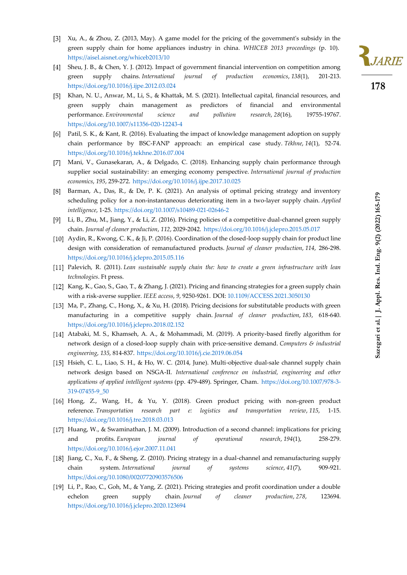- Xu, A., & Zhou, Z. (2013, May). A game model for the pricing of the government's subsidy in the green supply chain for home appliances industry in china*. WHICEB 2013 proceedings* (p. 10). <https://aisel.aisnet.org/whiceb2013/10>
- Sheu, J. B., & Chen, Y. J. (2012). Impact of government financial intervention on competition among green supply chains. *International journal of production economics*, *138*(1), 201-213. <https://doi.org/10.1016/j.ijpe.2012.03.024>
- [5] Khan, N. U., Anwar, M., Li, S., & Khattak, M. S. (2021). Intellectual capital, financial resources, and green supply chain management as predictors of financial and environmental performance. *Environmental science and pollution research*, *28*(16), 19755-19767. <https://doi.org/10.1007/s11356-020-12243-4>
- Patil, S. K., & Kant, R. (2016). Evaluating the impact of knowledge management adoption on supply chain performance by BSC-FANP approach: an empirical case study. *Tékhne*, *14*(1), 52-74. <https://doi.org/10.1016/j.tekhne.2016.07.004>
- [7] Mani, V., Gunasekaran, A., & Delgado, C. (2018). Enhancing supply chain performance through supplier social sustainability: an emerging economy perspective. *International journal of production economics*, *195*, 259-272. <https://doi.org/10.1016/j.ijpe.2017.10.025>
- [8] Barman, A., Das, R., & De, P. K. (2021). An analysis of optimal pricing strategy and inventory scheduling policy for a non-instantaneous deteriorating item in a two-layer supply chain. *Applied intelligence*, 1-25. <https://doi.org/10.1007/s10489-021-02646-2>
- Li, B., Zhu, M., Jiang, Y., & Li, Z. (2016). Pricing policies of a competitive dual-channel green supply chain. *Journal of cleaner production*, *112*, 2029-2042. <https://doi.org/10.1016/j.jclepro.2015.05.017>
- [10] Aydin, R., Kwong, C. K., & Ji, P. (2016). Coordination of the closed-loop supply chain for product line design with consideration of remanufactured products. *Journal of cleaner production*, *114*, 286-298. <https://doi.org/10.1016/j.jclepro.2015.05.116>
- Palevich, R. (2011). *Lean sustainable supply chain the: how to create a green infrastructure with lean technologies*. Ft press.
- [12] Kang, K., Gao, S., Gao, T., & Zhang, J. (2021). Pricing and financing strategies for a green supply chain with a risk-averse supplier. *IEEE access*, *9*, 9250-9261. DOI: [10.1109/ACCESS.2021.3050130](https://doi.org/10.1109/ACCESS.2021.3050130)
- [13] Ma, P., Zhang, C., Hong, X., & Xu, H. (2018). Pricing decisions for substitutable products with green manufacturing in a competitive supply chain. *Journal of cleaner production*, *183*, 618-640. <https://doi.org/10.1016/j.jclepro.2018.02.152>
- [14] Atabaki, M. S., Khamseh, A. A., & Mohammadi, M. (2019). A priority-based firefly algorithm for network design of a closed-loop supply chain with price-sensitive demand. *Computers & industrial engineering*, *135*, 814-837. <https://doi.org/10.1016/j.cie.2019.06.054>
- [15] Hsieh, C. L., Liao, S. H., & Ho, W. C. (2014, June). Multi-objective dual-sale channel supply chain network design based on NSGA-II. *International conference on industrial, engineering and other applications of applied intelligent systems* (pp. 479-489). Springer, Cham. [https://doi.org/10.1007/978-3-](https://doi.org/10.1007/978-3-319-07455-9_50) [319-07455-9\\_50](https://doi.org/10.1007/978-3-319-07455-9_50)
- [16] Hong, Z., Wang, H., & Yu, Y. (2018). Green product pricing with non-green product reference. *Transportation research part e: logistics and transportation review*, *115*, 1-15. <https://doi.org/10.1016/j.tre.2018.03.013>
- [17] Huang, W., & Swaminathan, J. M. (2009). Introduction of a second channel: implications for pricing and profits. *European journal of operational research*, *194*(1), 258-279. <https://doi.org/10.1016/j.ejor.2007.11.041>
- Jiang, C., Xu, F., & Sheng, Z. (2010). Pricing strategy in a dual-channel and remanufacturing supply chain system. *International journal of systems science*, *41*(7), 909-921. <https://doi.org/10.1080/00207720903576506>
- [19] Li, P., Rao, C., Goh, M., & Yang, Z. (2021). Pricing strategies and profit coordination under a double echelon green supply chain. *Journal of cleaner production*, *278*, 123694. <https://doi.org/10.1016/j.jclepro.2020.123694>

Sazegari et al. | J. Appl. Res. Ind. Eng. 9(2) (2022) 165-179 **Sazegari et al.| J. Appl. Res. Ind. Eng. 9(2) (2022) 165-179**